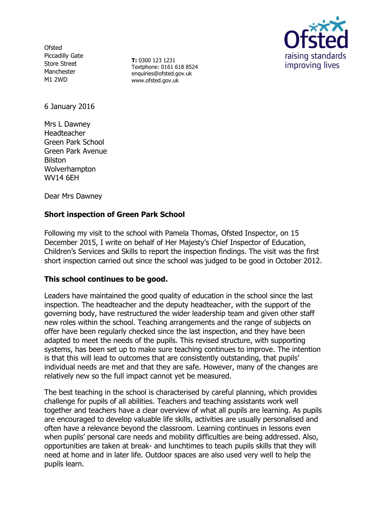**Ofsted** Piccadilly Gate Store Street Manchester M1 2WD

**T:** 0300 123 1231 Textphone: 0161 618 8524 enquiries@ofsted.gov.uk www.ofsted.gov.uk



6 January 2016

Mrs L Dawney Headteacher Green Park School Green Park Avenue Bilston Wolverhampton WV14 6EH

Dear Mrs Dawney

# **Short inspection of Green Park School**

Following my visit to the school with Pamela Thomas, Ofsted Inspector, on 15 December 2015, I write on behalf of Her Majesty's Chief Inspector of Education, Children's Services and Skills to report the inspection findings. The visit was the first short inspection carried out since the school was judged to be good in October 2012.

### **This school continues to be good.**

Leaders have maintained the good quality of education in the school since the last inspection. The headteacher and the deputy headteacher, with the support of the governing body, have restructured the wider leadership team and given other staff new roles within the school. Teaching arrangements and the range of subjects on offer have been regularly checked since the last inspection, and they have been adapted to meet the needs of the pupils. This revised structure, with supporting systems, has been set up to make sure teaching continues to improve. The intention is that this will lead to outcomes that are consistently outstanding, that pupils' individual needs are met and that they are safe. However, many of the changes are relatively new so the full impact cannot yet be measured.

The best teaching in the school is characterised by careful planning, which provides challenge for pupils of all abilities. Teachers and teaching assistants work well together and teachers have a clear overview of what all pupils are learning. As pupils are encouraged to develop valuable life skills, activities are usually personalised and often have a relevance beyond the classroom. Learning continues in lessons even when pupils' personal care needs and mobility difficulties are being addressed. Also, opportunities are taken at break- and lunchtimes to teach pupils skills that they will need at home and in later life. Outdoor spaces are also used very well to help the pupils learn.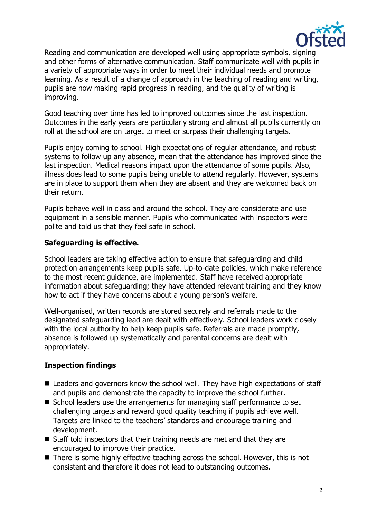

Reading and communication are developed well using appropriate symbols, signing and other forms of alternative communication. Staff communicate well with pupils in a variety of appropriate ways in order to meet their individual needs and promote learning. As a result of a change of approach in the teaching of reading and writing, pupils are now making rapid progress in reading, and the quality of writing is improving.

Good teaching over time has led to improved outcomes since the last inspection. Outcomes in the early years are particularly strong and almost all pupils currently on roll at the school are on target to meet or surpass their challenging targets.

Pupils enjoy coming to school. High expectations of regular attendance, and robust systems to follow up any absence, mean that the attendance has improved since the last inspection. Medical reasons impact upon the attendance of some pupils. Also, illness does lead to some pupils being unable to attend regularly. However, systems are in place to support them when they are absent and they are welcomed back on their return.

Pupils behave well in class and around the school. They are considerate and use equipment in a sensible manner. Pupils who communicated with inspectors were polite and told us that they feel safe in school.

### **Safeguarding is effective.**

School leaders are taking effective action to ensure that safeguarding and child protection arrangements keep pupils safe. Up-to-date policies, which make reference to the most recent guidance, are implemented. Staff have received appropriate information about safeguarding; they have attended relevant training and they know how to act if they have concerns about a young person's welfare.

Well-organised, written records are stored securely and referrals made to the designated safeguarding lead are dealt with effectively. School leaders work closely with the local authority to help keep pupils safe. Referrals are made promptly, absence is followed up systematically and parental concerns are dealt with appropriately.

### **Inspection findings**

- Leaders and governors know the school well. They have high expectations of staff and pupils and demonstrate the capacity to improve the school further.
- School leaders use the arrangements for managing staff performance to set challenging targets and reward good quality teaching if pupils achieve well. Targets are linked to the teachers' standards and encourage training and development.
- Staff told inspectors that their training needs are met and that they are encouraged to improve their practice.
- There is some highly effective teaching across the school. However, this is not consistent and therefore it does not lead to outstanding outcomes.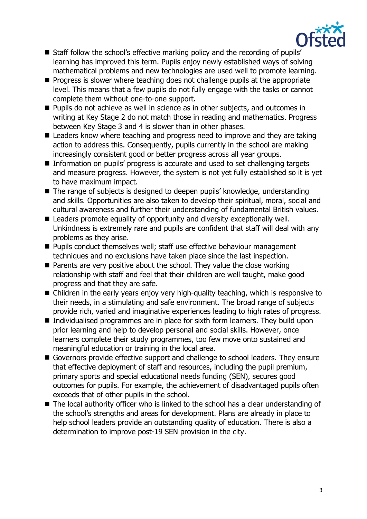

- Staff follow the school's effective marking policy and the recording of pupils' learning has improved this term. Pupils enjoy newly established ways of solving mathematical problems and new technologies are used well to promote learning.
- **Progress is slower where teaching does not challenge pupils at the appropriate** level. This means that a few pupils do not fully engage with the tasks or cannot complete them without one-to-one support.
- **Pupils do not achieve as well in science as in other subjects, and outcomes in** writing at Key Stage 2 do not match those in reading and mathematics. Progress between Key Stage 3 and 4 is slower than in other phases.
- Leaders know where teaching and progress need to improve and they are taking action to address this. Consequently, pupils currently in the school are making increasingly consistent good or better progress across all year groups.
- Information on pupils' progress is accurate and used to set challenging targets and measure progress. However, the system is not yet fully established so it is yet to have maximum impact.
- The range of subjects is designed to deepen pupils' knowledge, understanding and skills. Opportunities are also taken to develop their spiritual, moral, social and cultural awareness and further their understanding of fundamental British values.
- Leaders promote equality of opportunity and diversity exceptionally well. Unkindness is extremely rare and pupils are confident that staff will deal with any problems as they arise.
- **Pupils conduct themselves well; staff use effective behaviour management** techniques and no exclusions have taken place since the last inspection.
- $\blacksquare$  Parents are very positive about the school. They value the close working relationship with staff and feel that their children are well taught, make good progress and that they are safe.
- Children in the early years enjoy very high-quality teaching, which is responsive to their needs, in a stimulating and safe environment. The broad range of subjects provide rich, varied and imaginative experiences leading to high rates of progress.
- Individualised programmes are in place for sixth form learners. They build upon prior learning and help to develop personal and social skills. However, once learners complete their study programmes, too few move onto sustained and meaningful education or training in the local area.
- Governors provide effective support and challenge to school leaders. They ensure that effective deployment of staff and resources, including the pupil premium, primary sports and special educational needs funding (SEN), secures good outcomes for pupils. For example, the achievement of disadvantaged pupils often exceeds that of other pupils in the school.
- The local authority officer who is linked to the school has a clear understanding of the school's strengths and areas for development. Plans are already in place to help school leaders provide an outstanding quality of education. There is also a determination to improve post-19 SEN provision in the city.